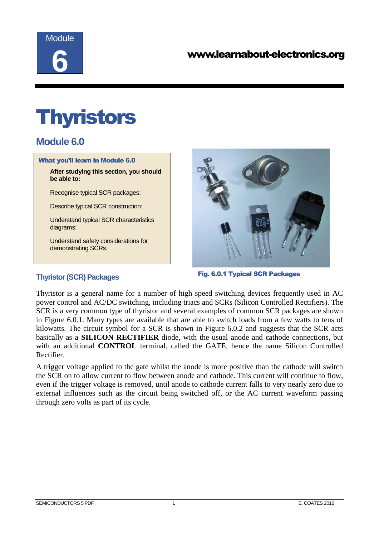

# **Thyristors**

# **Module 6.0**

#### What you'll learn in Module 6.0

**After studying this section, you should be able to:**

Recognise typical SCR packages:

Describe typical SCR construction:

Understand typical SCR characteristics diagrams:

Understand safety considerations for demonstrating SCRs.

**Thyristor (SCR) Packages** 



Fig. 6.0.1 Typical SCR Packages

Thyristor is a general name for a number of high speed switching devices frequently used in AC power control and AC/DC switching, including triacs and SCRs (Silicon Controlled Rectifiers). The SCR is a very common type of thyristor and several examples of common SCR packages are shown in Figure 6.0.1. Many types are available that are able to switch loads from a few watts to tens of kilowatts. The circuit symbol for a SCR is shown in Figure 6.0.2 and suggests that the SCR acts basically as a **SILICON RECTIFIER** diode, with the usual anode and cathode connections, but with an additional **CONTROL** terminal, called the GATE, hence the name Silicon Controlled Rectifier.

A trigger voltage applied to the gate whilst the anode is more positive than the cathode will switch the SCR on to allow current to flow between anode and cathode. This current will continue to flow, even if the trigger voltage is removed, until anode to cathode current falls to very nearly zero due to external influences such as the circuit being switched off, or the AC current waveform passing through zero volts as part of its cycle.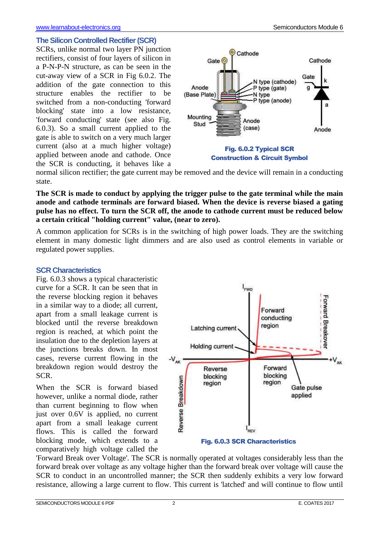SCRs, unlike normal two layer PN junction rectifiers, consist of four layers of silicon in a P-N-P-N structure, as can be seen in the cut-away view of a SCR in Fig 6.0.2. The addition of the gate connection to this structure enables the rectifier to be switched from a non-conducting 'forward blocking' state into a low resistance, 'forward conducting' state (see also Fig. 6.0.3). So a small current applied to the gate is able to switch on a very much larger current (also at a much higher voltage) applied between anode and cathode. Once the SCR is conducting, it behaves like a



normal silicon rectifier; the gate current may be removed and the device will remain in a conducting state.

**The SCR is made to conduct by applying the trigger pulse to the gate terminal while the main anode and cathode terminals are forward biased. When the device is reverse biased a gating pulse has no effect. To turn the SCR off, the anode to cathode current must be reduced below a certain critical "holding current" value, (near to zero).** 

A common application for SCRs is in the switching of high power loads. They are the switching element in many domestic light dimmers and are also used as control elements in variable or regulated power supplies.

#### **SCR Characteristics**

Fig. 6.0.3 shows a typical characteristic curve for a SCR. It can be seen that in the reverse blocking region it behaves in a similar way to a diode; all current, apart from a small leakage current is blocked until the reverse breakdown region is reached, at which point the insulation due to the depletion layers at the junctions breaks down. In most cases, reverse current flowing in the breakdown region would destroy the SCR.

When the SCR is forward biased however, unlike a normal diode, rather than current beginning to flow when just over 0.6V is applied, no current apart from a small leakage current flows. This is called the forward blocking mode, which extends to a comparatively high voltage called the



Fig. 6.0.3 SCR Characteristics

'Forward Break over Voltage'. The SCR is normally operated at voltages considerably less than the forward break over voltage as any voltage higher than the forward break over voltage will cause the SCR to conduct in an uncontrolled manner; the SCR then suddenly exhibits a very low forward resistance, allowing a large current to flow. This current is 'latched' and will continue to flow until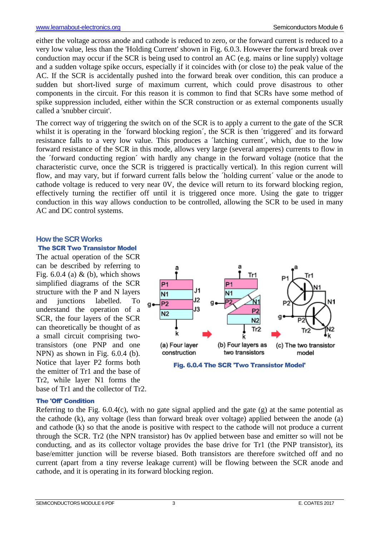either the voltage across anode and cathode is reduced to zero, or the forward current is reduced to a very low value, less than the 'Holding Current' shown in Fig. 6.0.3. However the forward break over conduction may occur if the SCR is being used to control an AC (e.g. mains or line supply) voltage and a sudden voltage spike occurs, especially if it coincides with (or close to) the peak value of the AC. If the SCR is accidentally pushed into the forward break over condition, this can produce a sudden but short-lived surge of maximum current, which could prove disastrous to other components in the circuit. For this reason it is common to find that SCRs have some method of spike suppression included, either within the SCR construction or as external components usually called a 'snubber circuit'.

The correct way of triggering the switch on of the SCR is to apply a current to the gate of the SCR whilst it is operating in the 'forward blocking region', the SCR is then 'triggered' and its forward resistance falls to a very low value. This produces a ´latching current´, which, due to the low forward resistance of the SCR in this mode, allows very large (several amperes) currents to flow in the ´forward conducting region´ with hardly any change in the forward voltage (notice that the characteristic curve, once the SCR is triggered is practically vertical). In this region current will flow, and may vary, but if forward current falls below the ´holding current´ value or the anode to cathode voltage is reduced to very near 0V, the device will return to its forward blocking region, effectively turning the rectifier off until it is triggered once more. Using the gate to trigger conduction in this way allows conduction to be controlled, allowing the SCR to be used in many AC and DC control systems.

#### **How the SCR Works**

#### The SCR Two Transistor Model

The actual operation of the SCR can be described by referring to Fig.  $6.0.4$  (a) & (b), which shows simplified diagrams of the SCR structure with the P and N layers and junctions labelled. To understand the operation of a SCR, the four layers of the SCR can theoretically be thought of as a small circuit comprising twotransistors (one PNP and one NPN) as shown in Fig. 6.0.4 (b). Notice that layer P2 forms both the emitter of Tr1 and the base of Tr2, while layer N1 forms the base of Tr1 and the collector of Tr2.



#### **The 'Off' Condition**

Referring to the Fig. 6.0.4(c), with no gate signal applied and the gate (g) at the same potential as the cathode (k), any voltage (less than forward break over voltage) applied between the anode (a) and cathode (k) so that the anode is positive with respect to the cathode will not produce a current through the SCR. Tr2 (the NPN transistor) has 0v applied between base and emitter so will not be conducting, and as its collector voltage provides the base drive for Tr1 (the PNP transistor), its base/emitter junction will be reverse biased. Both transistors are therefore switched off and no current (apart from a tiny reverse leakage current) will be flowing between the SCR anode and cathode, and it is operating in its forward blocking region.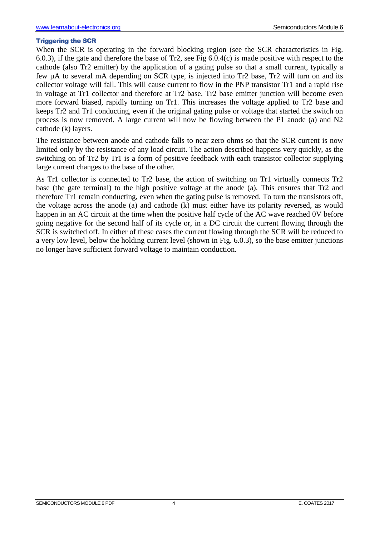#### Triggering the SCR

When the SCR is operating in the forward blocking region (see the SCR characteristics in Fig. 6.0.3), if the gate and therefore the base of Tr2, see Fig 6.0.4(c) is made positive with respect to the cathode (also Tr2 emitter) by the application of a gating pulse so that a small current, typically a few µA to several mA depending on SCR type, is injected into Tr2 base, Tr2 will turn on and its collector voltage will fall. This will cause current to flow in the PNP transistor Tr1 and a rapid rise in voltage at Tr1 collector and therefore at Tr2 base. Tr2 base emitter junction will become even more forward biased, rapidly turning on Tr1. This increases the voltage applied to Tr2 base and keeps Tr2 and Tr1 conducting, even if the original gating pulse or voltage that started the switch on process is now removed. A large current will now be flowing between the P1 anode (a) and N2 cathode (k) layers.

The resistance between anode and cathode falls to near zero ohms so that the SCR current is now limited only by the resistance of any load circuit. The action described happens very quickly, as the switching on of Tr2 by Tr1 is a form of positive feedback with each transistor collector supplying large current changes to the base of the other.

As Tr1 collector is connected to Tr2 base, the action of switching on Tr1 virtually connects Tr2 base (the gate terminal) to the high positive voltage at the anode (a). This ensures that Tr2 and therefore Tr1 remain conducting, even when the gating pulse is removed. To turn the transistors off, the voltage across the anode (a) and cathode (k) must either have its polarity reversed, as would happen in an AC circuit at the time when the positive half cycle of the AC wave reached 0V before going negative for the second half of its cycle or, in a DC circuit the current flowing through the SCR is switched off. In either of these cases the current flowing through the SCR will be reduced to a very low level, below the holding current level (shown in Fig. 6.0.3), so the base emitter junctions no longer have sufficient forward voltage to maintain conduction.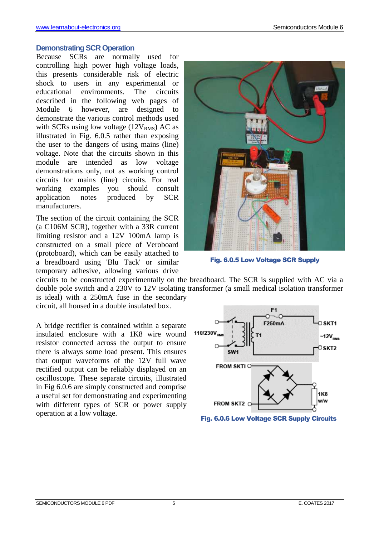#### **Demonstrating SCR Operation**

Because SCRs are normally used for controlling high power high voltage loads, this presents considerable risk of electric shock to users in any experimental or educational environments. The circuits described in the following web pages of Module 6 however, are designed to demonstrate the various control methods used with SCRs using low voltage  $(12V<sub>RMS</sub>)$  AC as illustrated in Fig. 6.0.5 rather than exposing the user to the dangers of using mains (line) voltage. Note that the circuits shown in this module are intended as low voltage demonstrations only, not as working control circuits for mains (line) circuits. For real working examples you should consult application notes produced by SCR manufacturers.

The section of the circuit containing the SCR (a C106M SCR), together with a 33R current limiting resistor and a 12V 100mA lamp is constructed on a small piece of Veroboard (protoboard), which can be easily attached to a breadboard using 'Blu Tack' or similar temporary adhesive, allowing various drive



Fig. 6.0.5 Low Voltage SCR Supply

circuits to be constructed experimentally on the breadboard. The SCR is supplied with AC via a double pole switch and a 230V to 12V isolating transformer (a small medical isolation transformer is ideal) with a 250mA fuse in the secondary

circuit, all housed in a double insulated box.

A bridge rectifier is contained within a separate insulated enclosure with a 1K8 wire wound resistor connected across the output to ensure there is always some load present. This ensures that output waveforms of the 12V full wave rectified output can be reliably displayed on an oscilloscope. These separate circuits, illustrated in Fig 6.0.6 are simply constructed and comprise a useful set for demonstrating and experimenting with different types of SCR or power supply operation at a low voltage.



Fig. 6.0.6 Low Voltage SCR Supply Circuits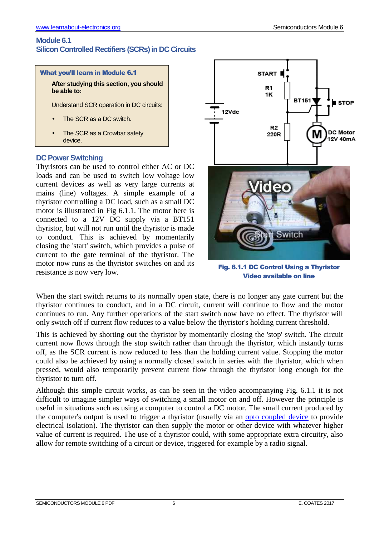# **Module 6.1 Silicon Controlled Rectifiers (SCRs) in DC Circuits**



**After studying this section, you should be able to:** 

Understand SCR operation in DC circuits:

- The SCR as a DC switch.
- The SCR as a Crowbar safety device.

# **DC Power Switching**

Thyristors can be used to control either AC or DC loads and can be used to switch low voltage low current devices as well as very large currents at mains (line) voltages. A simple example of a thyristor controlling a DC load, such as a small DC motor is illustrated in Fig 6.1.1. The motor here is connected to a 12V DC supply via a BT151 thyristor, but will not run until the thyristor is made to conduct. This is achieved by momentarily closing the 'start' switch, which provides a pulse of current to the gate terminal of the thyristor. The motor now runs as the thyristor switches on and its resistance is now very low.



Fig. 6.1.1 DC Control Using a Thyristor Video available on line

When the start switch returns to its normally open state, there is no longer any gate current but the thyristor continues to conduct, and in a DC circuit, current will continue to flow and the motor continues to run. Any further operations of the start switch now have no effect. The thyristor will only switch off if current flow reduces to a value below the thyristor's holding current threshold.

This is achieved by shorting out the thyristor by momentarily closing the 'stop' switch. The circuit current now flows through the stop switch rather than through the thyristor, which instantly turns off, as the SCR current is now reduced to less than the holding current value. Stopping the motor could also be achieved by using a normally closed switch in series with the thyristor, which when pressed, would also temporarily prevent current flow through the thyristor long enough for the thyristor to turn off.

Although this simple circuit works, as can be seen in the video accompanying Fig. 6.1.1 it is not difficult to imagine simpler ways of switching a small motor on and off. However the principle is useful in situations such as using a computer to control a DC motor. The small current produced by the computer's output is used to trigger a thyristor (usually via an opto coupled device to provide electrical isolation). The thyristor can then supply the motor or other device with whatever higher value of current is required. The use of a thyristor could, with some appropriate extra circuitry, also allow for remote switching of a circuit or device, triggered for example by a radio signal.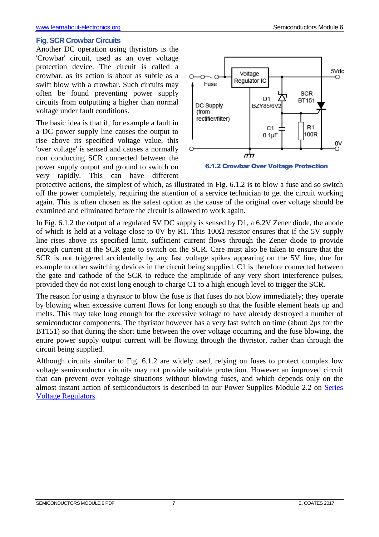#### **Fig. SCR Crowbar Circuits**

Another DC operation using thyristors is the 'Crowbar' circuit, used as an over voltage protection device. The circuit is called a crowbar, as its action is about as subtle as a swift blow with a crowbar. Such circuits may often be found preventing power supply circuits from outputting a higher than normal voltage under fault conditions.

The basic idea is that if, for example a fault in a DC power supply line causes the output to rise above its specified voltage value, this 'over voltage' is sensed and causes a normally non conducting SCR connected between the power supply output and ground to switch on very rapidly. This can have different



6.1.2 Crowbar Over Voltage Protection

protective actions, the simplest of which, as illustrated in Fig. 6.1.2 is to blow a fuse and so switch off the power completely, requiring the attention of a service technician to get the circuit working again. This is often chosen as the safest option as the cause of the original over voltage should be examined and eliminated before the circuit is allowed to work again.

In Fig. 6.1.2 the output of a regulated 5V DC supply is sensed by D1, a 6.2V Zener diode, the anode of which is held at a voltage close to 0V by R1. This  $100\Omega$  resistor ensures that if the 5V supply line rises above its specified limit, sufficient current flows through the Zener diode to provide enough current at the SCR gate to switch on the SCR. Care must also be taken to ensure that the SCR is not triggered accidentally by any fast voltage spikes appearing on the 5V line, due for example to other switching devices in the circuit being supplied. C1 is therefore connected between the gate and cathode of the SCR to reduce the amplitude of any very short interference pulses, provided they do not exist long enough to charge C1 to a high enough level to trigger the SCR.

The reason for using a thyristor to blow the fuse is that fuses do not blow immediately; they operate by blowing when excessive current flows for long enough so that the fusible element heats up and melts. This may take long enough for the excessive voltage to have already destroyed a number of semiconductor components. The thyristor however has a very fast switch on time (about 2µs for the BT151) so that during the short time between the over voltage occurring and the fuse blowing, the entire power supply output current will be flowing through the thyristor, rather than through the circuit being supplied.

Although circuits similar to Fig. 6.1.2 are widely used, relying on fuses to protect complex low voltage semiconductor circuits may not provide suitable protection. However an improved circuit that can prevent over voltage situations without blowing fuses, and which depends only on the almost instant action of semiconductors is described in our Power Supplies Module 2.2 on Series Voltage Regulators.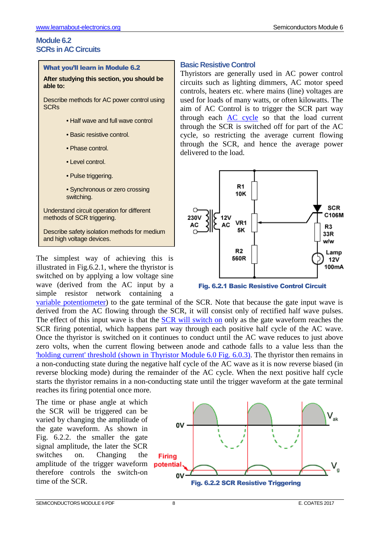# **Module 6.2 SCRs in AC Circuits**

#### What you'll learn in Module 6.2

**After studying this section, you should be able to:** 

Describe methods for AC power control using **SCR<sub>s</sub>** 

- Half wave and full wave control
- Basic resistive control.
- Phase control.
- Level control.
- Pulse triggering.
- Synchronous or zero crossing switching.

Understand circuit operation for different methods of SCR triggering.

Describe safety isolation methods for medium and high voltage devices.

The simplest way of achieving this is illustrated in Fig.6.2.1, where the thyristor is switched on by applying a low voltage sine wave (derived from the AC input by a simple resistor network containing a

# Thyristors are generally used in AC power control

**Basic Resistive Control** 

circuits such as lighting dimmers, AC motor speed controls, heaters etc. where mains (line) voltages are used for loads of many watts, or often kilowatts. The aim of AC Control is to trigger the SCR part way through each AC cycle so that the load current through the SCR is switched off for part of the AC cycle, so restricting the average current flowing through the SCR, and hence the average power delivered to the load.





variable potentiometer) to the gate terminal of the SCR. Note that because the gate input wave is derived from the AC flowing through the SCR, it will consist only of rectified half wave pulses. The effect of this input wave is that the SCR will switch on only as the gate waveform reaches the SCR firing potential, which happens part way through each positive half cycle of the AC wave. Once the thyristor is switched on it continues to conduct until the AC wave reduces to just above zero volts, when the current flowing between anode and cathode falls to a value less than the 'holding current' threshold (shown in Thyristor Module 6.0 Fig. 6.0.3). The thyristor then remains in a non-conducting state during the negative half cycle of the AC wave as it is now reverse biased (in reverse blocking mode) during the remainder of the AC cycle. When the next positive half cycle starts the thyristor remains in a non-conducting state until the trigger waveform at the gate terminal reaches its firing potential once more.

The time or phase angle at which the SCR will be triggered can be varied by changing the amplitude of the gate waveform. As shown in Fig. 6.2.2. the smaller the gate signal amplitude, the later the SCR switches on. Changing the amplitude of the trigger waveform **potential** therefore controls the switch-on time of the SCR.

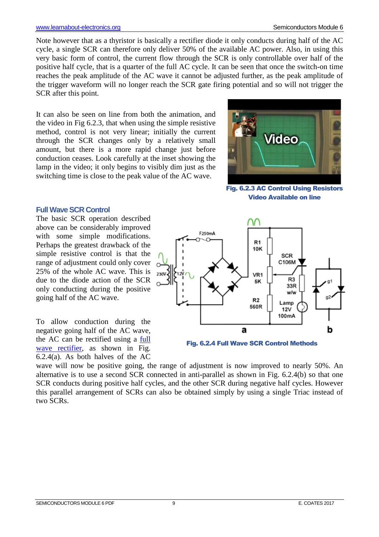Note however that as a thyristor is basically a rectifier diode it only conducts during half of the AC cycle, a single SCR can therefore only deliver 50% of the available AC power. Also, in using this very basic form of control, the current flow through the SCR is only controllable over half of the positive half cycle, that is a quarter of the full AC cycle. It can be seen that once the switch-on time reaches the peak amplitude of the AC wave it cannot be adjusted further, as the peak amplitude of the trigger waveform will no longer reach the SCR gate firing potential and so will not trigger the SCR after this point.

It can also be seen on line from both the animation, and the video in Fig 6.2.3, that when using the simple resistive method, control is not very linear; initially the current through the SCR changes only by a relatively small amount, but there is a more rapid change just before conduction ceases. Look carefully at the inset showing the lamp in the video; it only begins to visibly dim just as the switching time is close to the peak value of the AC wave.



Fig. 6.2.3 AC Control Using Resistors Video Available on line

## **Full Wave SCR Control**

The basic SCR operation described above can be considerably improved with some simple modifications. Perhaps the greatest drawback of the simple resistive control is that the range of adjustment could only cover 25% of the whole AC wave. This is due to the diode action of the SCR only conducting during the positive going half of the AC wave.

To allow conduction during the negative going half of the AC wave, the AC can be rectified using a full wave rectifier, as shown in Fig. 6.2.4(a). As both halves of the AC





wave will now be positive going, the range of adjustment is now improved to nearly 50%. An alternative is to use a second SCR connected in anti-parallel as shown in Fig. 6.2.4(b) so that one SCR conducts during positive half cycles, and the other SCR during negative half cycles. However this parallel arrangement of SCRs can also be obtained simply by using a single Triac instead of two SCRs.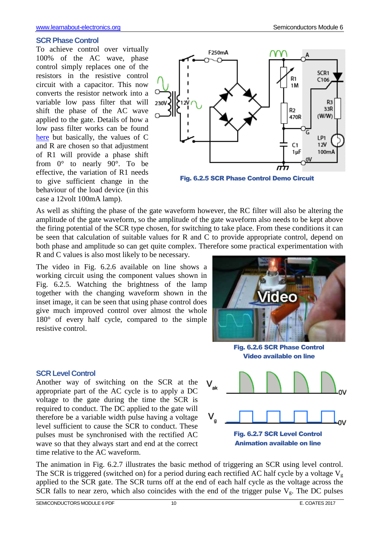#### **SCR Phase Control**

To achieve control over virtually 100% of the AC wave, phase control simply replaces one of the resistors in the resistive control circuit with a capacitor. This now converts the resistor network into a variable low pass filter that will shift the phase of the AC wave applied to the gate. Details of how a low pass filter works can be found here but basically, the values of C and R are chosen so that adjustment of R1 will provide a phase shift from 0° to nearly 90°. To be effective, the variation of R1 needs to give sufficient change in the behaviour of the load device (in this case a 12volt 100mA lamp).



Fig. 6.2.5 SCR Phase Control Demo Circuit

As well as shifting the phase of the gate waveform however, the RC filter will also be altering the amplitude of the gate waveform, so the amplitude of the gate waveform also needs to be kept above the firing potential of the SCR type chosen, for switching to take place. From these conditions it can be seen that calculation of suitable values for R and C to provide appropriate control, depend on both phase and amplitude so can get quite complex. Therefore some practical experimentation with R and C values is also most likely to be necessary.

The video in Fig. 6.2.6 available on line shows a working circuit using the component values shown in Fig. 6.2.5. Watching the brightness of the lamp together with the changing waveform shown in the inset image, it can be seen that using phase control does give much improved control over almost the whole 180° of every half cycle, compared to the simple resistive control.

Another way of switching on the SCR at the appropriate part of the AC cycle is to apply a DC voltage to the gate during the time the SCR is required to conduct. The DC applied to the gate will therefore be a variable width pulse having a voltage level sufficient to cause the SCR to conduct. These pulses must be synchronised with the rectified AC wave so that they always start and end at the correct



Video available on line



The animation in Fig. 6.2.7 illustrates the basic method of triggering an SCR using level control. The SCR is triggered (switched on) for a period during each rectified AC half cycle by a voltage  $V_g$ applied to the SCR gate. The SCR turns off at the end of each half cycle as the voltage across the SCR falls to near zero, which also coincides with the end of the trigger pulse  $V_g$ . The DC pulses

time relative to the AC waveform.

**SCR Level Control**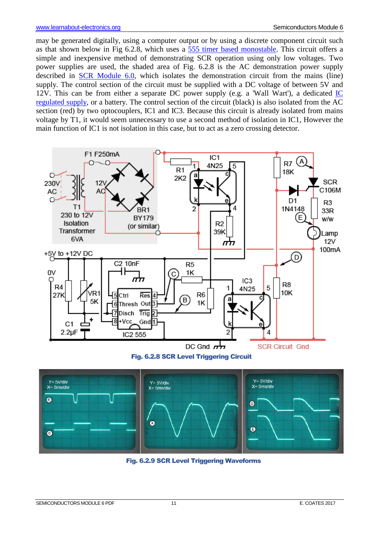may be generated digitally, using a computer output or by using a discrete component circuit such as that shown below in Fig 6.2.8, which uses a 555 timer based monostable. This circuit offers a simple and inexpensive method of demonstrating SCR operation using only low voltages. Two power supplies are used, the shaded area of Fig. 6.2.8 is the AC demonstration power supply described in SCR Module 6.0, which isolates the demonstration circuit from the mains (line) supply. The control section of the circuit must be supplied with a DC voltage of between 5V and 12V. This can be from either a separate DC power supply (e.g. a 'Wall Wart'), a dedicated  $\underline{IC}$ regulated supply, or a battery. The control section of the circuit (black) is also isolated from the AC section (red) by two optocouplers, IC1 and IC3. Because this circuit is already isolated from mains voltage by T1, it would seem unnecessary to use a second method of isolation in IC1, However the main function of IC1 is not isolation in this case, but to act as a zero crossing detector.



Fig. 6.2.8 SCR Level Triggering Circuit



Fig. 6.2.9 SCR Level Triggering Waveforms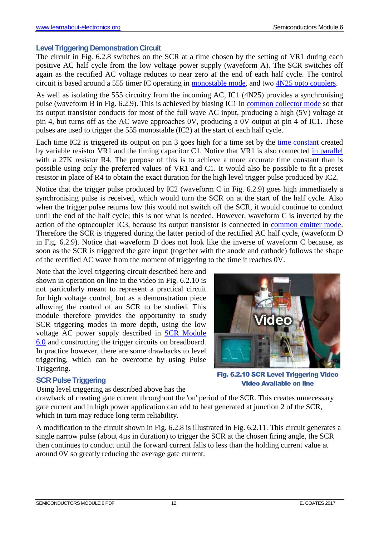#### **Level Triggering Demonstration Circuit**

The circuit in Fig. 6.2.8 switches on the SCR at a time chosen by the setting of VR1 during each positive AC half cycle from the low voltage power supply (waveform A). The SCR switches off again as the rectified AC voltage reduces to near zero at the end of each half cycle. The control circuit is based around a 555 timer IC operating in monostable mode, and two 4N25 opto couplers.

As well as isolating the 555 circuitry from the incoming AC, IC1 (4N25) provides a synchronising pulse (waveform B in Fig. 6.2.9). This is achieved by biasing IC1 in common collector mode so that its output transistor conducts for most of the full wave AC input, producing a high (5V) voltage at pin 4, but turns off as the AC wave approaches 0V, producing a 0V output at pin 4 of IC1. These pulses are used to trigger the 555 monostable (IC2) at the start of each half cycle.

Each time IC2 is triggered its output on pin 3 goes high for a time set by the time constant created by variable resistor VR1 and the timing capacitor C1. Notice that VR1 is also connected in parallel with a 27K resistor R4. The purpose of this is to achieve a more accurate time constant than is possible using only the preferred values of VR1 and C1. It would also be possible to fit a preset resistor in place of R4 to obtain the exact duration for the high level trigger pulse produced by IC2.

Notice that the trigger pulse produced by IC2 (waveform C in Fig. 6.2.9) goes high immediately a synchronising pulse is received, which would turn the SCR on at the start of the half cycle. Also when the trigger pulse returns low this would not switch off the SCR, it would continue to conduct until the end of the half cycle; this is not what is needed. However, waveform C is inverted by the action of the optocoupler IC3, because its output transistor is connected in common emitter mode. Therefore the SCR is triggered during the latter period of the rectified AC half cycle, (waveform D in Fig. 6.2.9). Notice that waveform D does not look like the inverse of waveform C because, as soon as the SCR is triggered the gate input (together with the anode and cathode) follows the shape of the rectified AC wave from the moment of triggering to the time it reaches 0V.

Note that the level triggering circuit described here and shown in operation on line in the video in Fig. 6.2.10 is not particularly meant to represent a practical circuit for high voltage control, but as a demonstration piece allowing the control of an SCR to be studied. This module therefore provides the opportunity to study SCR triggering modes in more depth, using the low voltage AC power supply described in SCR Module 6.0 and constructing the trigger circuits on breadboard. In practice however, there are some drawbacks to level triggering, which can be overcome by using Pulse Triggering.



Fig. 6.2.10 SCR Level Triggering Video Video Available on line

# **SCR Pulse Triggering**

Using level triggering as described above has the

drawback of creating gate current throughout the 'on' period of the SCR. This creates unnecessary gate current and in high power application can add to heat generated at junction 2 of the SCR, which in turn may reduce long term reliability.

A modification to the circuit shown in Fig. 6.2.8 is illustrated in Fig. 6.2.11. This circuit generates a single narrow pulse (about 4µs in duration) to trigger the SCR at the chosen firing angle, the SCR then continues to conduct until the forward current falls to less than the holding current value at around 0V so greatly reducing the average gate current.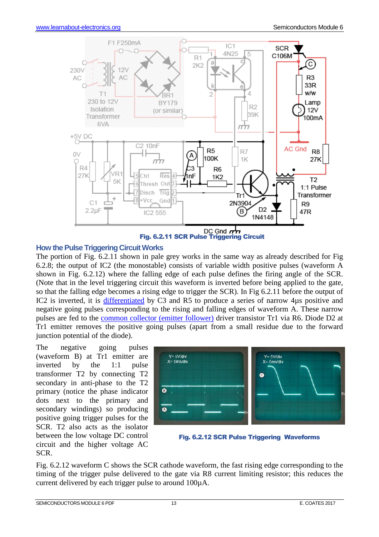

## **How the Pulse Triggering Circuit Works**

The portion of Fig. 6.2.11 shown in pale grey works in the same way as already described for Fig 6.2.8; the output of IC2 (the monostable) consists of variable width positive pulses (waveform A shown in Fig. 6.2.12) where the falling edge of each pulse defines the firing angle of the SCR. (Note that in the level triggering circuit this waveform is inverted before being applied to the gate, so that the falling edge becomes a rising edge to trigger the SCR). In Fig 6.2.11 before the output of IC2 is inverted, it is differentiated by C3 and R5 to produce a series of narrow 4µs positive and negative going pulses corresponding to the rising and falling edges of waveform A. These narrow pulses are fed to the common collector (emitter follower) driver transistor Tr1 via R6. Diode D2 at Tr1 emitter removes the positive going pulses (apart from a small residue due to the forward junction potential of the diode).

The negative going pulses (waveform B) at Tr1 emitter are inverted by the 1:1 pulse transformer T2 by connecting T2 secondary in anti-phase to the T2 primary (notice the phase indicator dots next to the primary and secondary windings) so producing positive going trigger pulses for the SCR. T2 also acts as the isolator between the low voltage DC control circuit and the higher voltage AC SCR.



Fig. 6.2.12 SCR Pulse Triggering Waveforms

Fig. 6.2.12 waveform C shows the SCR cathode waveform, the fast rising edge corresponding to the timing of the trigger pulse delivered to the gate via R8 current limiting resistor; this reduces the current delivered by each trigger pulse to around 100µA.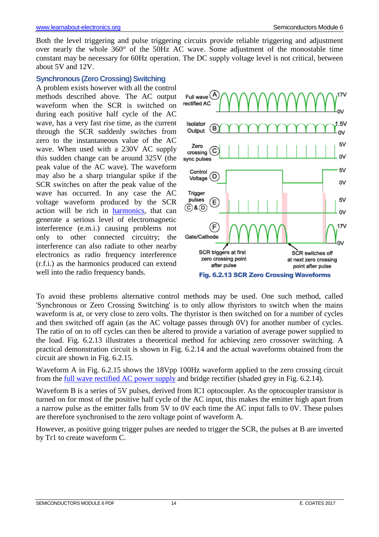Both the level triggering and pulse triggering circuits provide reliable triggering and adjustment over nearly the whole 360° of the 50Hz AC wave. Some adjustment of the monostable time constant may be necessary for 60Hz operation. The DC supply voltage level is not critical, between about 5V and 12V.

#### **Synchronous (Zero Crossing) Switching**

A problem exists however with all the control methods described above. The AC output waveform when the SCR is switched on during each positive half cycle of the AC wave, has a very fast rise time, as the current through the SCR suddenly switches from zero to the instantaneous value of the AC wave. When used with a 230V AC supply this sudden change can be around 325V (the peak value of the AC wave). The waveform may also be a sharp triangular spike if the SCR switches on after the peak value of the wave has occurred. In any case the AC voltage waveform produced by the SCR action will be rich in harmonics, that can generate a serious level of electromagnetic interference (e.m.i.) causing problems not only to other connected circuitry; the interference can also radiate to other nearby electronics as radio frequency interference (r.f.i.) as the harmonics produced can extend well into the radio frequency bands.



To avoid these problems alternative control methods may be used. One such method, called 'Synchronous or Zero Crossing Switching' is to only allow thyristors to switch when the mains waveform is at, or very close to zero volts. The thyristor is then switched on for a number of cycles and then switched off again (as the AC voltage passes through 0V) for another number of cycles. The ratio of on to off cycles can then be altered to provide a variation of average power supplied to the load. Fig. 6.2.13 illustrates a theoretical method for achieving zero crossover switching. A practical demonstration circuit is shown in Fig. 6.2.14 and the actual waveforms obtained from the circuit are shown in Fig. 6.2.15.

Waveform A in Fig. 6.2.15 shows the 18Vpp 100Hz waveform applied to the zero crossing circuit from the full wave rectified AC power supply and bridge rectifier (shaded grey in Fig. 6.2.14).

Waveform B is a series of 5V pulses, derived from IC1 optocoupler. As the optocoupler transistor is turned on for most of the positive half cycle of the AC input, this makes the emitter high apart from a narrow pulse as the emitter falls from 5V to 0V each time the AC input falls to 0V. These pulses are therefore synchronised to the zero voltage point of waveform A.

However, as positive going trigger pulses are needed to trigger the SCR, the pulses at B are inverted by Tr1 to create waveform C.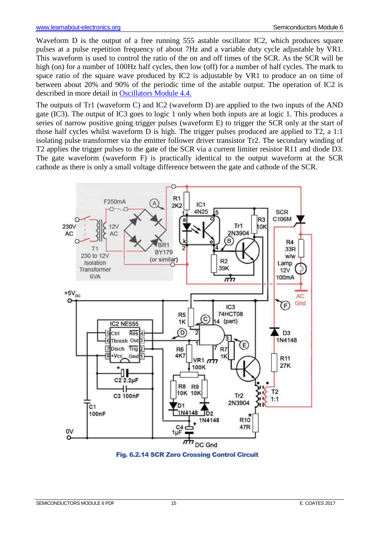Waveform D is the output of a free running 555 astable oscillator IC2, which produces square pulses at a pulse repetition frequency of about 7Hz and a variable duty cycle adjustable by VR1. This waveform is used to control the ratio of the on and off times of the SCR. As the SCR will be high (on) for a number of 100Hz half cycles, then low (off) for a number of half cycles. The mark to space ratio of the square wave produced by IC2 is adjustable by VR1 to produce an on time of between about 20% and 90% of the periodic time of the astable output. The operation of IC2 is described in more detail in Oscillators Module 4.4.

The outputs of Tr1 (waveform C) and IC2 (waveform D) are applied to the two inputs of the AND gate (IC3). The output of IC3 goes to logic 1 only when both inputs are at logic 1. This produces a series of narrow positive going trigger pulses (waveform E) to trigger the SCR only at the start of those half cycles whilst waveform D is high. The trigger pulses produced are applied to T2, a 1:1 isolating pulse transformer via the emitter follower driver transistor Tr2. The secondary winding of T2 applies the trigger pulses to the gate of the SCR via a current limiter resistor R11 and diode D3. The gate waveform (waveform F) is practically identical to the output waveform at the SCR cathode as there is only a small voltage difference between the gate and cathode of the SCR.



Fig. 6.2.14 SCR Zero Crossing Control Circuit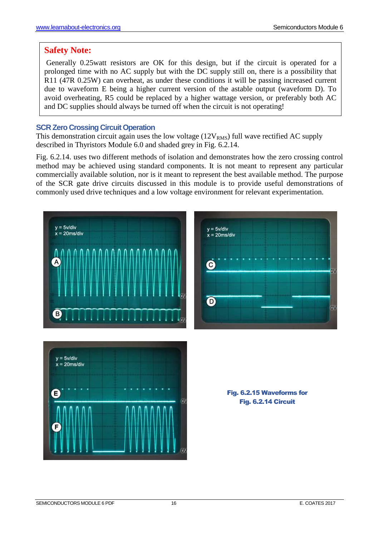# **Safety Note:**

 Generally 0.25watt resistors are OK for this design, but if the circuit is operated for a prolonged time with no AC supply but with the DC supply still on, there is a possibility that R11 (47R 0.25W) can overheat, as under these conditions it will be passing increased current due to waveform E being a higher current version of the astable output (waveform D). To avoid overheating, R5 could be replaced by a higher wattage version, or preferably both AC and DC supplies should always be turned off when the circuit is not operating!

# **SCR Zero Crossing Circuit Operation**

This demonstration circuit again uses the low voltage  $(12V<sub>RMS</sub>)$  full wave rectified AC supply described in Thyristors Module 6.0 and shaded grey in Fig. 6.2.14.

Fig. 6.2.14. uses two different methods of isolation and demonstrates how the zero crossing control method may be achieved using standard components. It is not meant to represent any particular commercially available solution, nor is it meant to represent the best available method. The purpose of the SCR gate drive circuits discussed in this module is to provide useful demonstrations of commonly used drive techniques and a low voltage environment for relevant experimentation.





Fig. 6.2.15 Waveforms for Fig. 6.2.14 Circuit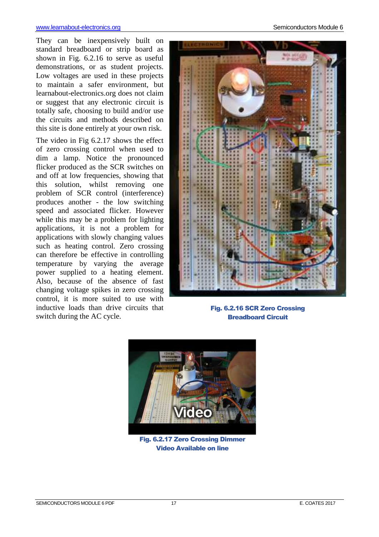#### www.learnabout-electronics.org Semiconductors Module 6

They can be inexpensively built on standard breadboard or strip board as shown in Fig. 6.2.16 to serve as useful demonstrations, or as student projects. Low voltages are used in these projects to maintain a safer environment, but learnabout-electronics.org does not claim or suggest that any electronic circuit is totally safe, choosing to build and/or use the circuits and methods described on this site is done entirely at your own risk.

The video in Fig 6.2.17 shows the effect of zero crossing control when used to dim a lamp. Notice the pronounced flicker produced as the SCR switches on and off at low frequencies, showing that this solution, whilst removing one problem of SCR control (interference) produces another - the low switching speed and associated flicker. However while this may be a problem for lighting applications, it is not a problem for applications with slowly changing values such as heating control. Zero crossing can therefore be effective in controlling temperature by varying the average power supplied to a heating element. Also, because of the absence of fast changing voltage spikes in zero crossing control, it is more suited to use with inductive loads than drive circuits that switch during the AC cycle.



Fig. 6.2.16 SCR Zero Crossing Breadboard Circuit



Fig. 6.2.17 Zero Crossing Dimmer Video Available on line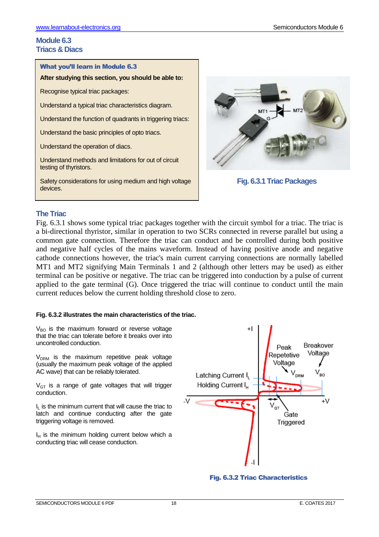# **Module 6.3 Triacs & Diacs**

#### What you'll learn in Module 6.3

**After studying this section, you should be able to:**

Recognise typical triac packages:

Understand a typical triac characteristics diagram.

Understand the function of quadrants in triggering triacs:

Understand the basic principles of opto triacs.

Understand the operation of diacs.

Understand methods and limitations for out of circuit testing of thyristors.

Safety considerations for using medium and high voltage devices.



**Fig. 6.3.1 Triac Packages**

#### **The Triac**

Fig. 6.3.1 shows some typical triac packages together with the circuit symbol for a triac. The triac is a bi-directional thyristor, similar in operation to two SCRs connected in reverse parallel but using a common gate connection. Therefore the triac can conduct and be controlled during both positive and negative half cycles of the mains waveform. Instead of having positive anode and negative cathode connections however, the triac's main current carrying connections are normally labelled MT1 and MT2 signifying Main Terminals 1 and 2 (although other letters may be used) as either terminal can be positive or negative. The triac can be triggered into conduction by a pulse of current applied to the gate terminal (G). Once triggered the triac will continue to conduct until the main current reduces below the current holding threshold close to zero.

#### **Fig. 6.3.2 illustrates the main characteristics of the triac.**

 $V<sub>BO</sub>$  is the maximum forward or reverse voltage that the triac can tolerate before it breaks over into uncontrolled conduction.

 $V<sub>DRM</sub>$  is the maximum repetitive peak voltage (usually the maximum peak voltage of the applied AC wave) that can be reliably tolerated.

 $V<sub>GT</sub>$  is a range of gate voltages that will trigger conduction.

 $I<sub>L</sub>$  is the minimum current that will cause the triac to latch and continue conducting after the gate triggering voltage is removed.

 $I_H$  is the minimum holding current below which a conducting triac will cease conduction.



Fig. 6.3.2 Triac Characteristics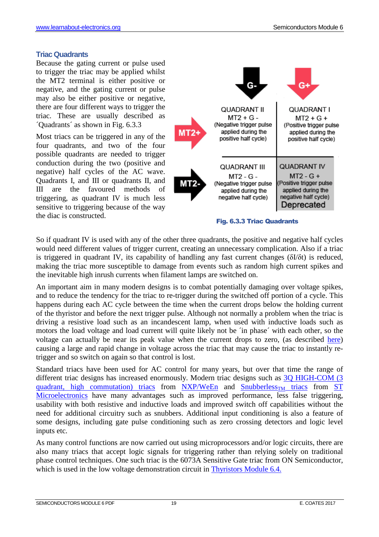#### **Triac Quadrants**

Because the gating current or pulse used to trigger the triac may be applied whilst the MT2 terminal is either positive or negative, and the gating current or pulse may also be either positive or negative, there are four different ways to trigger the triac. These are usually described as ´Quadrants´ as shown in Fig. 6.3.3

Most triacs can be triggered in any of the four quadrants, and two of the four possible quadrants are needed to trigger conduction during the two (positive and negative) half cycles of the AC wave. Quadrants I, and III or quadrants II, and III are the favoured methods of triggering, as quadrant IV is much less sensitive to triggering because of the way the diac is constructed.



Fig. 6.3.3 Triac Quadrants

So if quadrant IV is used with any of the other three quadrants, the positive and negative half cycles would need different values of trigger current, creating an unnecessary complication. Also if a triac is triggered in quadrant IV, its capability of handling any fast current changes (δI/δt) is reduced, making the triac more susceptible to damage from events such as random high current spikes and the inevitable high inrush currents when filament lamps are switched on.

An important aim in many modern designs is to combat potentially damaging over voltage spikes, and to reduce the tendency for the triac to re-trigger during the switched off portion of a cycle. This happens during each AC cycle between the time when the current drops below the holding current of the thyristor and before the next trigger pulse. Although not normally a problem when the triac is driving a resistive load such as an incandescent lamp, when used with inductive loads such as motors the load voltage and load current will quite likely not be ´in phase´ with each other, so the voltage can actually be near its peak value when the current drops to zero, (as described here) causing a large and rapid change in voltage across the triac that may cause the triac to instantly retrigger and so switch on again so that control is lost.

Standard triacs have been used for AC control for many years, but over that time the range of different triac designs has increased enormously. Modern triac designs such as 3Q HIGH-COM (3) quadrant, high commutation) triacs from  $NXP/WeEn$  and  $Smubberless<sub>TM</sub>$  triacs from ST Microelectronics have many advantages such as improved performance, less false triggering, usability with both resistive and inductive loads and improved switch off capabilities without the need for additional circuitry such as snubbers. Additional input conditioning is also a feature of some designs, including gate pulse conditioning such as zero crossing detectors and logic level inputs etc.

As many control functions are now carried out using microprocessors and/or logic circuits, there are also many triacs that accept logic signals for triggering rather than relying solely on traditional phase control techniques. One such triac is the 6073A Sensitive Gate triac from ON Semiconductor, which is used in the low voltage demonstration circuit in Thyristors Module 6.4.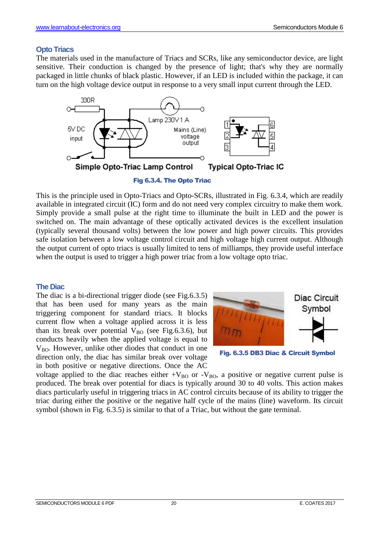#### **Opto Triacs**

The materials used in the manufacture of Triacs and SCRs, like any semiconductor device, are light sensitive. Their conduction is changed by the presence of light; that's why they are normally packaged in little chunks of black plastic. However, if an LED is included within the package, it can turn on the high voltage device output in response to a very small input current through the LED.



This is the principle used in Opto-Triacs and Opto-SCRs, illustrated in Fig. 6.3.4, which are readily available in integrated circuit (IC) form and do not need very complex circuitry to make them work. Simply provide a small pulse at the right time to illuminate the built in LED and the power is switched on. The main advantage of these optically activated devices is the excellent insulation (typically several thousand volts) between the low power and high power circuits. This provides safe isolation between a low voltage control circuit and high voltage high current output. Although the output current of opto triacs is usually limited to tens of milliamps, they provide useful interface when the output is used to trigger a high power triac from a low voltage opto triac.

#### **The Diac**

The diac is a bi-directional trigger diode (see Fig.6.3.5) that has been used for many years as the main triggering component for standard triacs. It blocks current flow when a voltage applied across it is less than its break over potential  $V_{BO}$  (see Fig.6.3.6), but conducts heavily when the applied voltage is equal to  $V_{BO}$ . However, unlike other diodes that conduct in one direction only, the diac has similar break over voltage in both positive or negative directions. Once the AC



Fig. 6.3.5 DB3 Diac & Circuit Symbol

voltage applied to the diac reaches either  $+V_{BO}$  or  $-V_{BO}$ , a positive or negative current pulse is produced. The break over potential for diacs is typically around 30 to 40 volts. This action makes diacs particularly useful in triggering triacs in AC control circuits because of its ability to trigger the triac during either the positive or the negative half cycle of the mains (line) waveform. Its circuit symbol (shown in Fig. 6.3.5) is similar to that of a Triac, but without the gate terminal.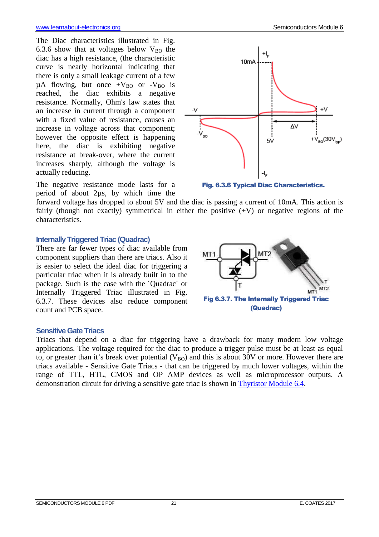The Diac characteristics illustrated in Fig. 6.3.6 show that at voltages below  $V_{\text{BO}}$  the diac has a high resistance, (the characteristic curve is nearly horizontal indicating that there is only a small leakage current of a few  $\mu$ A flowing, but once +V<sub>BO</sub> or -V<sub>BO</sub> is reached, the diac exhibits a negative resistance. Normally, Ohm's law states that an increase in current through a component with a fixed value of resistance, causes an increase in voltage across that component; however the opposite effect is happening here, the diac is exhibiting negative resistance at break-over, where the current increases sharply, although the voltage is actually reducing.

The negative resistance mode lasts for a period of about 2µs, by which time the

forward voltage has dropped to about 5V and the diac is passing a current of 10mA. This action is fairly (though not exactly) symmetrical in either the positive  $(+V)$  or negative regions of the characteristics.

MT<sub>1</sub>

#### **Internally Triggered Triac (Quadrac)**

There are far fewer types of diac available from component suppliers than there are triacs. Also it is easier to select the ideal diac for triggering a particular triac when it is already built in to the package. Such is the case with the ´Quadrac´ or Internally Triggered Triac illustrated in Fig. 6.3.7. These devices also reduce component count and PCB space.





Fig. 6.3.6 Typical Diac Characteristics.

Fig 6.3.7. The Internally Triggered Triac (Quadrac)

demonstration circuit for driving a sensitive gate triac is shown in Thyristor Module 6.4.

MT<sub>2</sub>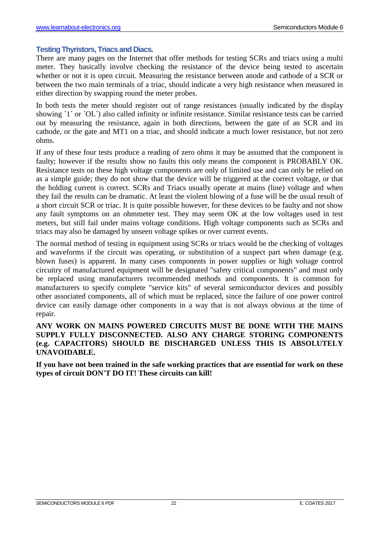#### **Testing Thyristors, Triacs and Diacs.**

There are many pages on the Internet that offer methods for testing SCRs and triacs using a multi meter. They basically involve checking the resistance of the device being tested to ascertain whether or not it is open circuit. Measuring the resistance between anode and cathode of a SCR or between the two main terminals of a triac, should indicate a very high resistance when measured in either direction by swapping round the meter probes.

In both tests the meter should register out of range resistances (usually indicated by the display showing <sup>'1'</sup> or 'OL') also called infinity or infinite resistance. Similar resistance tests can be carried out by measuring the resistance, again in both directions, between the gate of an SCR and its cathode, or the gate and MT1 on a triac, and should indicate a much lower resistance, but not zero ohms.

If any of these four tests produce a reading of zero ohms it may be assumed that the component is faulty; however if the results show no faults this only means the component is PROBABLY OK. Resistance tests on these high voltage components are only of limited use and can only be relied on as a simple guide; they do not show that the device will be triggered at the correct voltage, or that the holding current is correct. SCRs and Triacs usually operate at mains (line) voltage and when they fail the results can be dramatic. At least the violent blowing of a fuse will be the usual result of a short circuit SCR or triac. It is quite possible however, for these devices to be faulty and not show any fault symptoms on an ohmmeter test. They may seem OK at the low voltages used in test meters, but still fail under mains voltage conditions. High voltage components such as SCRs and triacs may also be damaged by unseen voltage spikes or over current events.

The normal method of testing in equipment using SCRs or triacs would be the checking of voltages and waveforms if the circuit was operating, or substitution of a suspect part when damage (e.g. blown fuses) is apparent. In many cases components in power supplies or high voltage control circuitry of manufactured equipment will be designated "safety critical components" and must only be replaced using manufacturers recommended methods and components. It is common for manufacturers to specify complete "service kits" of several semiconductor devices and possibly other associated components, all of which must be replaced, since the failure of one power control device can easily damage other components in a way that is not always obvious at the time of repair.

#### **ANY WORK ON MAINS POWERED CIRCUITS MUST BE DONE WITH THE MAINS SUPPLY FULLY DISCONNECTED. ALSO ANY CHARGE STORING COMPONENTS (e.g. CAPACITORS) SHOULD BE DISCHARGED UNLESS THIS IS ABSOLUTELY UNAVOIDABLE.**

**If you have not been trained in the safe working practices that are essential for work on these types of circuit DON'T DO IT! These circuits can kill!**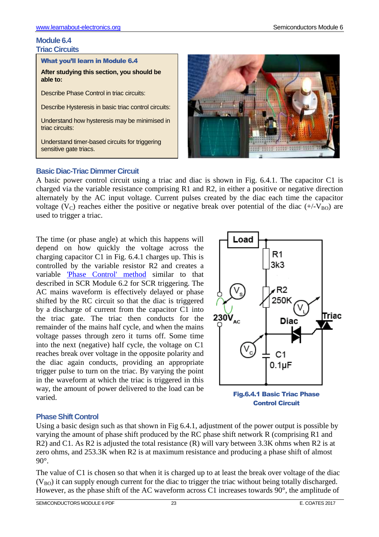#### **Module 6.4 Triac Circuits**

What you'll learn in Module 6.4

**After studying this section, you should be able to:** 

Describe Phase Control in triac circuits:

Describe Hysteresis in basic triac control circuits:

Understand how hysteresis may be minimised in triac circuits:

Understand timer-based circuits for triggering sensitive gate triacs.



# **Basic Diac-Triac Dimmer Circuit**

A basic power control circuit using a triac and diac is shown in Fig. 6.4.1. The capacitor C1 is charged via the variable resistance comprising R1 and R2, in either a positive or negative direction alternately by the AC input voltage. Current pulses created by the diac each time the capacitor voltage (V<sub>C</sub>) reaches either the positive or negative break over potential of the diac ( $+/-V_{BO}$ ) are used to trigger a triac.

The time (or phase angle) at which this happens will depend on how quickly the voltage across the charging capacitor C1 in Fig. 6.4.1 charges up. This is controlled by the variable resistor R2 and creates a variable 'Phase Control' method similar to that described in SCR Module 6.2 for SCR triggering. The AC mains waveform is effectively delayed or phase shifted by the RC circuit so that the diac is triggered by a discharge of current from the capacitor C1 into the triac gate. The triac then conducts for the remainder of the mains half cycle, and when the mains voltage passes through zero it turns off. Some time into the next (negative) half cycle, the voltage on C1 reaches break over voltage in the opposite polarity and the diac again conducts, providing an appropriate trigger pulse to turn on the triac. By varying the point in the waveform at which the triac is triggered in this way, the amount of power delivered to the load can be varied.



Fig.6.4.1 Basic Triac Phase Control Circuit

# **Phase Shift Control**

Using a basic design such as that shown in Fig 6.4.1, adjustment of the power output is possible by varying the amount of phase shift produced by the RC phase shift network R (comprising R1 and R2) and C1. As R2 is adjusted the total resistance (R) will vary between 3.3K ohms when R2 is at zero ohms, and 253.3K when R2 is at maximum resistance and producing a phase shift of almost 90°.

The value of C1 is chosen so that when it is charged up to at least the break over voltage of the diac  $(V_{BO})$  it can supply enough current for the diac to trigger the triac without being totally discharged. However, as the phase shift of the AC waveform across C1 increases towards 90°, the amplitude of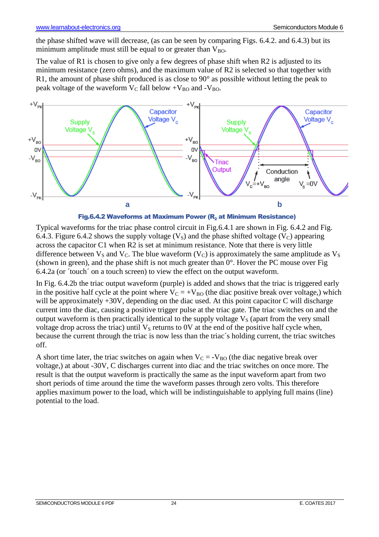the phase shifted wave will decrease, (as can be seen by comparing Figs. 6.4.2. and 6.4.3) but its minimum amplitude must still be equal to or greater than  $V_{BO}$ .

The value of R1 is chosen to give only a few degrees of phase shift when R2 is adjusted to its minimum resistance (zero ohms), and the maximum value of R2 is selected so that together with R1, the amount of phase shift produced is as close to 90° as possible without letting the peak to peak voltage of the waveform  $V_C$  fall below  $+V_{BO}$  and  $-V_{BO}$ .





Typical waveforms for the triac phase control circuit in Fig.6.4.1 are shown in Fig. 6.4.2 and Fig. 6.4.3. Figure 6.4.2 shows the supply voltage  $(V<sub>S</sub>)$  and the phase shifted voltage  $(V<sub>C</sub>)$  appearing across the capacitor C1 when R2 is set at minimum resistance. Note that there is very little difference between  $V_S$  and  $V_C$ . The blue waveform  $(V_C)$  is approximately the same amplitude as  $V_S$ (shown in green), and the phase shift is not much greater than 0°. Hover the PC mouse over Fig 6.4.2a (or ´touch´ on a touch screen) to view the effect on the output waveform.

In Fig. 6.4.2b the triac output waveform (purple) is added and shows that the triac is triggered early in the positive half cycle at the point where  $V_C = +V_{BO}$  (the diac positive break over voltage,) which will be approximately  $+30V$ , depending on the diac used. At this point capacitor C will discharge current into the diac, causing a positive trigger pulse at the triac gate. The triac switches on and the output waveform is then practically identical to the supply voltage  $V<sub>S</sub>$  (apart from the very small voltage drop across the triac) until  $V<sub>S</sub>$  returns to 0V at the end of the positive half cycle when, because the current through the triac is now less than the triac´s holding current, the triac switches off.

A short time later, the triac switches on again when  $V_C = -V_{BO}$  (the diac negative break over voltage,) at about -30V, C discharges current into diac and the triac switches on once more. The result is that the output waveform is practically the same as the input waveform apart from two short periods of time around the time the waveform passes through zero volts. This therefore applies maximum power to the load, which will be indistinguishable to applying full mains (line) potential to the load.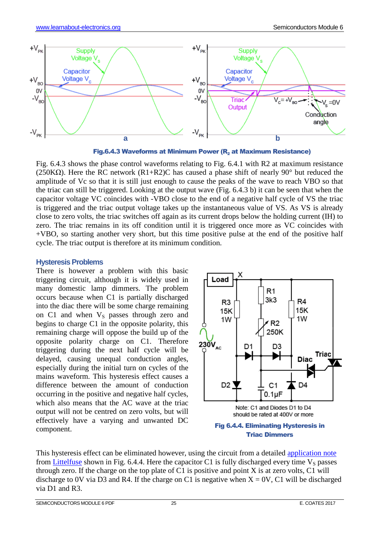

Fig.6.4.3 Waveforms at Minimum Power ( $R<sub>2</sub>$  at Maximum Resistance)

Fig. 6.4.3 shows the phase control waveforms relating to Fig. 6.4.1 with R2 at maximum resistance (250K $\Omega$ ). Here the RC network (R1+R2)C has caused a phase shift of nearly 90° but reduced the amplitude of Vc so that it is still just enough to cause the peaks of the wave to reach VBO so that the triac can still be triggered. Looking at the output wave (Fig. 6.4.3 b) it can be seen that when the capacitor voltage VC coincides with -VBO close to the end of a negative half cycle of VS the triac is triggered and the triac output voltage takes up the instantaneous value of VS. As VS is already close to zero volts, the triac switches off again as its current drops below the holding current (IH) to zero. The triac remains in its off condition until it is triggered once more as VC coincides with +VBO, so starting another very short, but this time positive pulse at the end of the positive half cycle. The triac output is therefore at its minimum condition.

#### **Hysteresis Problems**

There is however a problem with this basic triggering circuit, although it is widely used in many domestic lamp dimmers. The problem occurs because when C1 is partially discharged into the diac there will be some charge remaining on C1 and when  $V_S$  passes through zero and begins to charge C1 in the opposite polarity, this remaining charge will oppose the build up of the opposite polarity charge on C1. Therefore triggering during the next half cycle will be delayed, causing unequal conduction angles, especially during the initial turn on cycles of the mains waveform. This hysteresis effect causes a difference between the amount of conduction occurring in the positive and negative half cycles, which also means that the AC wave at the triac output will not be centred on zero volts, but will effectively have a varying and unwanted DC component.



#### Triac Dimmers

This hysteresis effect can be eliminated however, using the circuit from a detailed application note from Littelfuse shown in Fig. 6.4.4. Here the capacitor C1 is fully discharged every time  $V_s$  passes through zero. If the charge on the top plate of C1 is positive and point X is at zero volts, C1 will discharge to 0V via D3 and R4. If the charge on C1 is negative when  $X = 0V$ , C1 will be discharged via D1 and R3.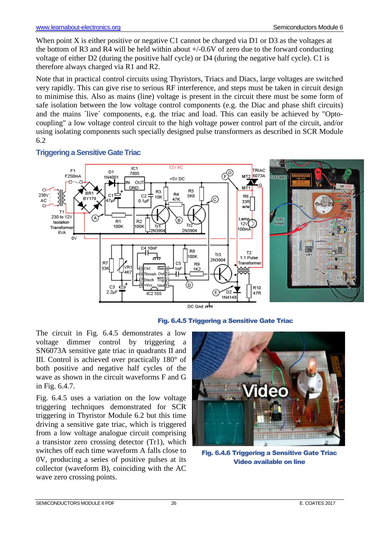When point X is either positive or negative C1 cannot be charged via D1 or D3 as the voltages at the bottom of R3 and R4 will be held within about  $+/-0.6V$  of zero due to the forward conducting voltage of either D2 (during the positive half cycle) or D4 (during the negative half cycle). C1 is therefore always charged via R1 and R2.

Note that in practical control circuits using Thyristors, Triacs and Diacs, large voltages are switched very rapidly. This can give rise to serious RF interference, and steps must be taken in circuit design to minimise this. Also as mains (line) voltage is present in the circuit there must be some form of safe isolation between the low voltage control components (e.g. the Diac and phase shift circuits) and the mains 'live' components, e.g. the triac and load. This can easily be achieved by "Optocoupling" a low voltage control circuit to the high voltage power control part of the circuit, and/or using isolating components such specially designed pulse transformers as described in SCR Module 6.2



## **Triggering a Sensitive Gate Triac**



The circuit in Fig. 6.4.5 demonstrates a low voltage dimmer control by triggering a SN6073A sensitive gate triac in quadrants II and III. Control is achieved over practically 180° of both positive and negative half cycles of the wave as shown in the circuit waveforms F and G in Fig. 6.4.7.

Fig. 6.4.5 uses a variation on the low voltage triggering techniques demonstrated for SCR triggering in Thyristor Module 6.2 but this time driving a sensitive gate triac, which is triggered from a low voltage analogue circuit comprising a transistor zero crossing detector (Tr1), which switches off each time waveform A falls close to 0V, producing a series of positive pulses at its collector (waveform B), coinciding with the AC wave zero crossing points.



Fig. 6.4.6 Triggering a Sensitive Gate Triac Video available on line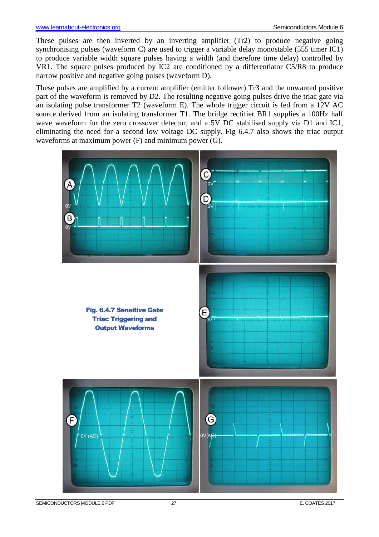These pulses are then inverted by an inverting amplifier (Tr2) to produce negative going synchronising pulses (waveform C) are used to trigger a variable delay monostable (555 timer IC1) to produce variable width square pulses having a width (and therefore time delay) controlled by VR1. The square pulses produced by IC2 are conditioned by a differentiator C5/R8 to produce narrow positive and negative going pulses (waveform D).

These pulses are amplified by a current amplifier (emitter follower) Tr3 and the unwanted positive part of the waveform is removed by D2. The resulting negative going pulses drive the triac gate via an isolating pulse transformer T2 (waveform E). The whole trigger circuit is fed from a 12V AC source derived from an isolating transformer T1. The bridge rectifier BR1 supplies a 100Hz half wave waveform for the zero crossover detector, and a 5V DC stabilised supply via D1 and IC1, eliminating the need for a second low voltage DC supply. Fig 6.4.7 also shows the triac output waveforms at maximum power (F) and minimum power (G).

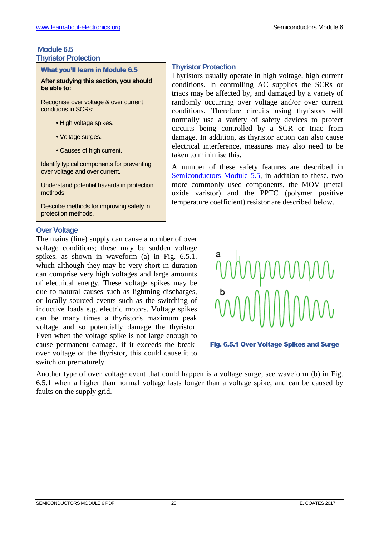#### **Module 6.5 Thyristor Protection**

#### What you'll learn in Module 6.5

**After studying this section, you should be able to:** 

Recognise over voltage & over current conditions in SCRs:

- High voltage spikes.
- Voltage surges.
- Causes of high current.

Identify typical components for preventing over voltage and over current.

Understand potential hazards in protection methods

Describe methods for improving safety in protection methods.

#### **Over Voltage**

The mains (line) supply can cause a number of over voltage conditions; these may be sudden voltage spikes, as shown in waveform (a) in Fig. 6.5.1. which although they may be very short in duration can comprise very high voltages and large amounts of electrical energy. These voltage spikes may be due to natural causes such as lightning discharges, or locally sourced events such as the switching of inductive loads e.g. electric motors. Voltage spikes can be many times a thyristor's maximum peak voltage and so potentially damage the thyristor. Even when the voltage spike is not large enough to cause permanent damage, if it exceeds the breakover voltage of the thyristor, this could cause it to switch on prematurely.

#### Fig. 6.5.1 Over Voltage Spikes and Surge

Another type of over voltage event that could happen is a voltage surge, see waveform (b) in Fig. 6.5.1 when a higher than normal voltage lasts longer than a voltage spike, and can be caused by faults on the supply grid.

**Thyristor Protection** 

taken to minimise this.

Thyristors usually operate in high voltage, high current conditions. In controlling AC supplies the SCRs or triacs may be affected by, and damaged by a variety of randomly occurring over voltage and/or over current conditions. Therefore circuits using thyristors will normally use a variety of safety devices to protect circuits being controlled by a SCR or triac from damage. In addition, as thyristor action can also cause electrical interference, measures may also need to be

A number of these safety features are described in Semiconductors Module 5.5, in addition to these, two more commonly used components, the MOV (metal oxide varistor) and the PPTC (polymer positive temperature coefficient) resistor are described below.

#### SEMICONDUCTORS MODULE 6 PDF 28 28 28 25 2017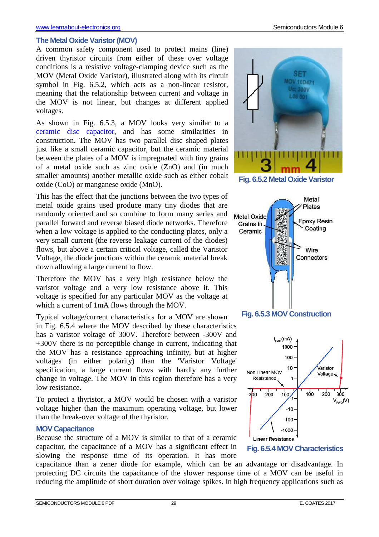#### **The Metal Oxide Varistor (MOV)**

A common safety component used to protect mains (line) driven thyristor circuits from either of these over voltage conditions is a resistive voltage-clamping device such as the MOV (Metal Oxide Varistor), illustrated along with its circuit symbol in Fig. 6.5.2, which acts as a non-linear resistor, meaning that the relationship between current and voltage in the MOV is not linear, but changes at different applied voltages.

As shown in Fig. 6.5.3, a MOV looks very similar to a ceramic disc capacitor, and has some similarities in construction. The MOV has two parallel disc shaped plates just like a small ceramic capacitor, but the ceramic material between the plates of a MOV is impregnated with tiny grains of a metal oxide such as zinc oxide (ZnO) and (in much smaller amounts) another metallic oxide such as either cobalt oxide (CoO) or manganese oxide (MnO).

This has the effect that the junctions between the two types of metal oxide grains used produce many tiny diodes that are randomly oriented and so combine to form many series and parallel forward and reverse biased diode networks. Therefore when a low voltage is applied to the conducting plates, only a very small current (the reverse leakage current of the diodes) flows, but above a certain critical voltage, called the Varistor Voltage, the diode junctions within the ceramic material break down allowing a large current to flow.

Therefore the MOV has a very high resistance below the varistor voltage and a very low resistance above it. This voltage is specified for any particular MOV as the voltage at which a current of 1mA flows through the MOV.

Typical voltage/current characteristics for a MOV are shown in Fig. 6.5.4 where the MOV described by these characteristics has a varistor voltage of 300V. Therefore between -300V and +300V there is no perceptible change in current, indicating that the MOV has a resistance approaching infinity, but at higher voltages (in either polarity) than the 'Varistor Voltage' specification, a large current flows with hardly any further change in voltage. The MOV in this region therefore has a very low resistance.

To protect a thyristor, a MOV would be chosen with a varistor voltage higher than the maximum operating voltage, but lower than the break-over voltage of the thyristor.

#### **MOV Capacitance**

Because the structure of a MOV is similar to that of a ceramic capacitor, the capacitance of a MOV has a significant effect in slowing the response time of its operation. It has more

अञ **MOV 10D471** Uc: 300V **LOS 001** 

**Fig. 6.5.2 Metal Oxide Varistor**







**Fig. 6.5.4 MOV Characteristics**

capacitance than a zener diode for example, which can be an advantage or disadvantage. In protecting DC circuits the capacitance of the slower response time of a MOV can be useful in reducing the amplitude of short duration over voltage spikes. In high frequency applications such as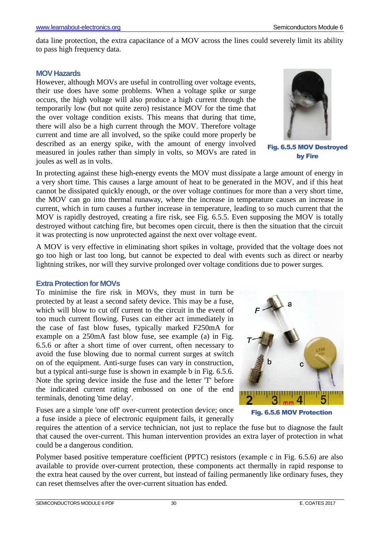data line protection, the extra capacitance of a MOV across the lines could severely limit its ability to pass high frequency data.

#### **MOV Hazards**

However, although MOVs are useful in controlling over voltage events, their use does have some problems. When a voltage spike or surge occurs, the high voltage will also produce a high current through the temporarily low (but not quite zero) resistance MOV for the time that the over voltage condition exists. This means that during that time, there will also be a high current through the MOV. Therefore voltage current and time are all involved, so the spike could more properly be described as an energy spike, with the amount of energy involved measured in joules rather than simply in volts, so MOVs are rated in joules as well as in volts.



Fig. 6.5.5 MOV Destroyed by Fire

In protecting against these high-energy events the MOV must dissipate a large amount of energy in a very short time. This causes a large amount of heat to be generated in the MOV, and if this heat cannot be dissipated quickly enough, or the over voltage continues for more than a very short time, the MOV can go into thermal runaway, where the increase in temperature causes an increase in current, which in turn causes a further increase in temperature, leading to so much current that the MOV is rapidly destroyed, creating a fire risk, see Fig. 6.5.5. Even supposing the MOV is totally destroyed without catching fire, but becomes open circuit, there is then the situation that the circuit it was protecting is now unprotected against the next over voltage event.

A MOV is very effective in eliminating short spikes in voltage, provided that the voltage does not go too high or last too long, but cannot be expected to deal with events such as direct or nearby lightning strikes, nor will they survive prolonged over voltage conditions due to power surges.

#### **Extra Protection for MOVs**

To minimise the fire risk in MOVs, they must in turn be protected by at least a second safety device. This may be a fuse, which will blow to cut off current to the circuit in the event of too much current flowing. Fuses can either act immediately in the case of fast blow fuses, typically marked F250mA for example on a 250mA fast blow fuse, see example (a) in Fig. 6.5.6 or after a short time of over current, often necessary to avoid the fuse blowing due to normal current surges at switch on of the equipment. Anti-surge fuses can vary in construction, but a typical anti-surge fuse is shown in example b in Fig. 6.5.6. Note the spring device inside the fuse and the letter 'T' before the indicated current rating embossed on one of the end terminals, denoting 'time delay'.

Fuses are a simple 'one off' over-current protection device; once a fuse inside a piece of electronic equipment fails, it generally



Fig. 6.5.6 MOV Protection

requires the attention of a service technician, not just to replace the fuse but to diagnose the fault that caused the over-current. This human intervention provides an extra layer of protection in what could be a dangerous condition.

Polymer based positive temperature coefficient (PPTC) resistors (example c in Fig. 6.5.6) are also available to provide over-current protection, these components act thermally in rapid response to the extra heat caused by the over current, but instead of failing permanently like ordinary fuses, they can reset themselves after the over-current situation has ended.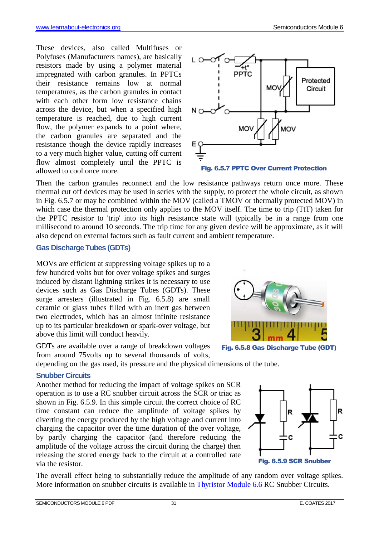These devices, also called Multifuses or Polyfuses (Manufacturers names), are basically resistors made by using a polymer material impregnated with carbon granules. In PPTCs their resistance remains low at normal temperatures, as the carbon granules in contact with each other form low resistance chains across the device, but when a specified high temperature is reached, due to high current flow, the polymer expands to a point where, the carbon granules are separated and the resistance though the device rapidly increases to a very much higher value, cutting off current flow almost completely until the PPTC is allowed to cool once more.



Fig. 6.5.7 PPTC Over Current Protection

Then the carbon granules reconnect and the low resistance pathways return once more. These thermal cut off devices may be used in series with the supply, to protect the whole circuit, as shown in Fig. 6.5.7 or may be combined within the MOV (called a TMOV or thermally protected MOV) in which case the thermal protection only applies to the MOV itself. The time to trip (TtT) taken for the PPTC resistor to 'trip' into its high resistance state will typically be in a range from one millisecond to around 10 seconds. The trip time for any given device will be approximate, as it will also depend on external factors such as fault current and ambient temperature.

#### **Gas Discharge Tubes (GDTs)**

MOVs are efficient at suppressing voltage spikes up to a few hundred volts but for over voltage spikes and surges induced by distant lightning strikes it is necessary to use devices such as Gas Discharge Tubes (GDTs). These surge arresters (illustrated in Fig. 6.5.8) are small ceramic or glass tubes filled with an inert gas between two electrodes, which has an almost infinite resistance up to its particular breakdown or spark-over voltage, but above this limit will conduct heavily.

GDTs are available over a range of breakdown voltages from around 75volts up to several thousands of volts,

Fig. 6.5.8 Gas Discharge Tube (GDT)

depending on the gas used, its pressure and the physical dimensions of the tube.

#### **Snubber Circuits**

Another method for reducing the impact of voltage spikes on SCR operation is to use a RC snubber circuit across the SCR or triac as shown in Fig. 6.5.9. In this simple circuit the correct choice of RC time constant can reduce the amplitude of voltage spikes by diverting the energy produced by the high voltage and current into charging the capacitor over the time duration of the over voltage, by partly charging the capacitor (and therefore reducing the amplitude of the voltage across the circuit during the charge) then releasing the stored energy back to the circuit at a controlled rate via the resistor.

The overall effect being to substantially reduce the amplitude of any random over voltage spikes. More information on snubber circuits is available in Thyristor Module 6.6 RC Snubber Circuits.



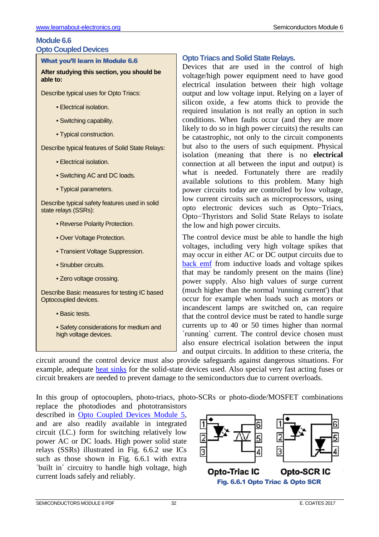#### **Module 6.6 Opto Coupled Devices**

#### What you'll learn in Module 6.6

**After studying this section, you should be able to:** 

Describe typical uses for Opto Triacs:

- Electrical isolation.
- Switching capability.
- Typical construction.

Describe typical features of Solid State Relays:

- Electrical isolation.
- Switching AC and DC loads.
- Typical parameters.

Describe typical safety features used in solid state relays (SSRs):

- Reverse Polarity Protection.
- Over Voltage Protection.
- Transient Voltage Suppression.
- Snubber circuits.
- Zero voltage crossing.

Describe Basic measures for testing IC based Optocoupled devices.

- Basic tests.
- Safety considerations for medium and high voltage devices.

# **Opto Triacs and Solid State Relays.**

Devices that are used in the control of high voltage/high power equipment need to have good electrical insulation between their high voltage output and low voltage input. Relying on a layer of silicon oxide, a few atoms thick to provide the required insulation is not really an option in such conditions. When faults occur (and they are more likely to do so in high power circuits) the results can be catastrophic, not only to the circuit components but also to the users of such equipment. Physical isolation (meaning that there is no **electrical** connection at all between the input and output) is what is needed. Fortunately there are readily available solutions to this problem. Many high power circuits today are controlled by low voltage, low current circuits such as microprocessors, using opto electronic devices such as Opto−Triacs, Opto−Thyristors and Solid State Relays to isolate the low and high power circuits.

The control device must be able to handle the high voltages, including very high voltage spikes that may occur in either AC or DC output circuits due to back emf from inductive loads and voltage spikes that may be randomly present on the mains (line) power supply. Also high values of surge current (much higher than the normal 'running current') that occur for example when loads such as motors or incandescent lamps are switched on, can require that the control device must be rated to handle surge currents up to 40 or 50 times higher than normal ´running´ current. The control device chosen must also ensure electrical isolation between the input and output circuits. In addition to these criteria, the

circuit around the control device must also provide safeguards against dangerous situations. For example, adequate heat sinks for the solid-state devices used. Also special very fast acting fuses or circuit breakers are needed to prevent damage to the semiconductors due to current overloads.

In this group of optocouplers, photo-triacs, photo-SCRs or photo-diode/MOSFET combinations

replace the photodiodes and phototransistors described in Opto Coupled Devices Module 5, and are also readily available in integrated circuit (I.C.) form for switching relatively low power AC or DC loads. High power solid state relays (SSRs) illustrated in Fig. 6.6.2 use ICs such as those shown in Fig. 6.6.1 with extra ´built in´ circuitry to handle high voltage, high current loads safely and reliably.

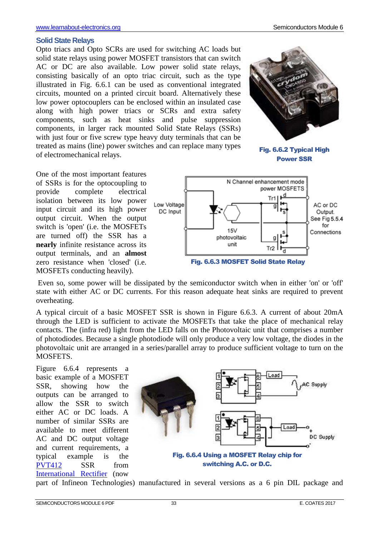#### **Solid State Relays**

Opto triacs and Opto SCRs are used for switching AC loads but solid state relays using power MOSFET transistors that can switch AC or DC are also available. Low power solid state relays, consisting basically of an opto triac circuit, such as the type illustrated in Fig. 6.6.1 can be used as conventional integrated circuits, mounted on a printed circuit board. Alternatively these low power optocouplers can be enclosed within an insulated case along with high power triacs or SCRs and extra safety components, such as heat sinks and pulse suppression components, in larger rack mounted Solid State Relays (SSRs) with just four or five screw type heavy duty terminals that can be treated as mains (line) power switches and can replace many types of electromechanical relays.



Fig. 6.6.2 Typical High Power SSR





 Even so, some power will be dissipated by the semiconductor switch when in either 'on' or 'off' state with either AC or DC currents. For this reason adequate heat sinks are required to prevent overheating.

A typical circuit of a basic MOSFET SSR is shown in Figure 6.6.3. A current of about 20mA through the LED is sufficient to activate the MOSFETs that take the place of mechanical relay contacts. The (infra red) light from the LED falls on the Photovoltaic unit that comprises a number of photodiodes. Because a single photodiode will only produce a very low voltage, the diodes in the photovoltaic unit are arranged in a series/parallel array to produce sufficient voltage to turn on the MOSFETS.

Figure 6.6.4 represents a basic example of a MOSFET SSR, showing how the outputs can be arranged to allow the SSR to switch either AC or DC loads. A number of similar SSRs are available to meet different AC and DC output voltage and current requirements, a typical example is the PVT412 SSR from International Rectifier (now



part of Infineon Technologies) manufactured in several versions as a 6 pin DIL package and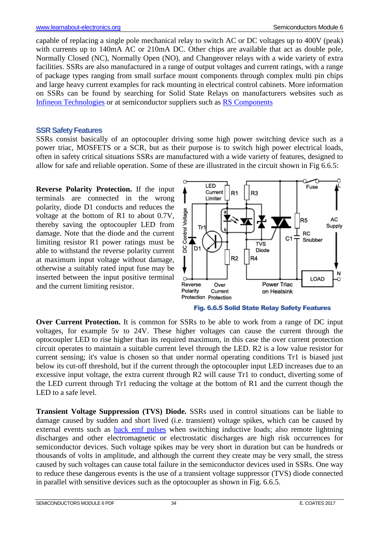capable of replacing a single pole mechanical relay to switch AC or DC voltages up to 400V (peak) with currents up to 140mA AC or 210mA DC. Other chips are available that act as double pole, Normally Closed (NC), Normally Open (NO), and Changeover relays with a wide variety of extra facilities. SSRs are also manufactured in a range of output voltages and current ratings, with a range of package types ranging from small surface mount components through complex multi pin chips and large heavy current examples for rack mounting in electrical control cabinets. More information on SSRs can be found by searching for Solid State Relays on manufacturers websites such as Infineon Technologies or at semiconductor suppliers such as RS Components

#### **SSR Safety Features**

SSRs consist basically of an optocoupler driving some high power switching device such as a power triac, MOSFETS or a SCR, but as their purpose is to switch high power electrical loads, often in safety critical situations SSRs are manufactured with a wide variety of features, designed to allow for safe and reliable operation. Some of these are illustrated in the circuit shown in Fig 6.6.5:

**Reverse Polarity Protection.** If the input terminals are connected in the wrong polarity, diode D1 conducts and reduces the voltage at the bottom of R1 to about 0.7V, thereby saving the optocoupler LED from damage. Note that the diode and the current limiting resistor R1 power ratings must be able to withstand the reverse polarity current at maximum input voltage without damage, otherwise a suitably rated input fuse may be inserted between the input positive terminal and the current limiting resistor.





**Over Current Protection.** It is common for SSRs to be able to work from a range of DC input voltages, for example 5v to 24V. These higher voltages can cause the current through the optocoupler LED to rise higher than its required maximum, in this case the over current protection circuit operates to maintain a suitable current level through the LED. R2 is a low value resistor for current sensing; it's value is chosen so that under normal operating conditions Tr1 is biased just below its cut-off threshold, but if the current through the optocoupler input LED increases due to an excessive input voltage, the extra current through R2 will cause Tr1 to conduct, diverting some of the LED current through Tr1 reducing the voltage at the bottom of R1 and the current though the LED to a safe level.

**Transient Voltage Suppression (TVS) Diode.** SSRs used in control situations can be liable to damage caused by sudden and short lived (i.e. transient) voltage spikes, which can be caused by external events such as **back emf** pulses when switching inductive loads; also remote lightning discharges and other electromagnetic or electrostatic discharges are high risk occurrences for semiconductor devices. Such voltage spikes may be very short in duration but can be hundreds or thousands of volts in amplitude, and although the current they create may be very small, the stress caused by such voltages can cause total failure in the semiconductor devices used in SSRs. One way to reduce these dangerous events is the use of a transient voltage suppressor (TVS) diode connected in parallel with sensitive devices such as the optocoupler as shown in Fig. 6.6.5.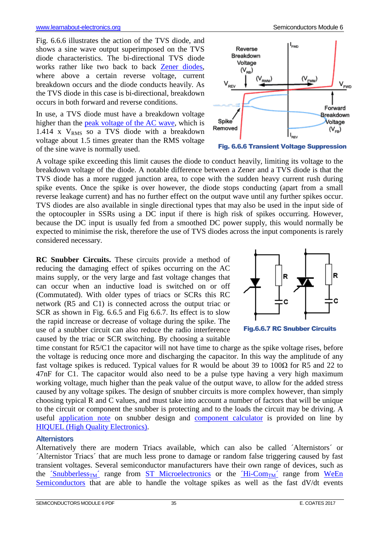Fig. 6.6.6 illustrates the action of the TVS diode, and shows a sine wave output superimposed on the TVS diode characteristics. The bi-directional TVS diode works rather like two back to back Zener diodes, where above a certain reverse voltage, current breakdown occurs and the diode conducts heavily. As the TVS diode in this case is bi-directional, breakdown occurs in both forward and reverse conditions.

In use, a TVS diode must have a breakdown voltage higher than the peak voltage of the AC wave, which is 1.414 x  $V<sub>RMS</sub>$  so a TVS diode with a breakdown voltage about 1.5 times greater than the RMS voltage of the sine wave is normally used.



Fig. 6.6.6 Transient Voltage Suppression

A voltage spike exceeding this limit causes the diode to conduct heavily, limiting its voltage to the breakdown voltage of the diode. A notable difference between a Zener and a TVS diode is that the TVS diode has a more rugged junction area, to cope with the sudden heavy current rush during spike events. Once the spike is over however, the diode stops conducting (apart from a small reverse leakage current) and has no further effect on the output wave until any further spikes occur. TVS diodes are also available in single directional types that may also be used in the input side of the optocoupler in SSRs using a DC input if there is high risk of spikes occurring. However, because the DC input is usually fed from a smoothed DC power supply, this would normally be expected to minimise the risk, therefore the use of TVS diodes across the input components is rarely considered necessary.

**RC Snubber Circuits.** These circuits provide a method of reducing the damaging effect of spikes occurring on the AC mains supply, or the very large and fast voltage changes that can occur when an inductive load is switched on or off (Commutated). With older types of triacs or SCRs this RC network (R5 and C1) is connected across the output triac or SCR as shown in Fig. 6.6.5 and Fig 6.6.7. Its effect is to slow the rapid increase or decrease of voltage during the spike. The use of a snubber circuit can also reduce the radio interference caused by the triac or SCR switching. By choosing a suitable





time constant for R5/C1 the capacitor will not have time to charge as the spike voltage rises, before the voltage is reducing once more and discharging the capacitor. In this way the amplitude of any fast voltage spikes is reduced. Typical values for R would be about 39 to 100Ω for R5 and 22 to 47nF for C1. The capacitor would also need to be a pulse type having a very high maximum working voltage, much higher than the peak value of the output wave, to allow for the added stress caused by any voltage spikes. The design of snubber circuits is more complex however, than simply choosing typical R and C values, and must take into account a number of factors that will be unique to the circuit or component the snubber is protecting and to the loads the circuit may be driving. A useful application note on snubber design and component calculator is provided on line by HIQUEL (High Quality Electronics).

#### **Alternistors**

Alternatively there are modern Triacs available, which can also be called ´Alternistors´ or ´Alternistor Triacs´ that are much less prone to damage or random false triggering caused by fast transient voltages. Several semiconductor manufacturers have their own range of devices, such as the  $\text{Subberless}_{\text{TM}}$  range from ST Microelectronics or the  $\text{Hi-Comm}^{\prime}$  range from WeEn Semiconductors that are able to handle the voltage spikes as well as the fast dV/dt events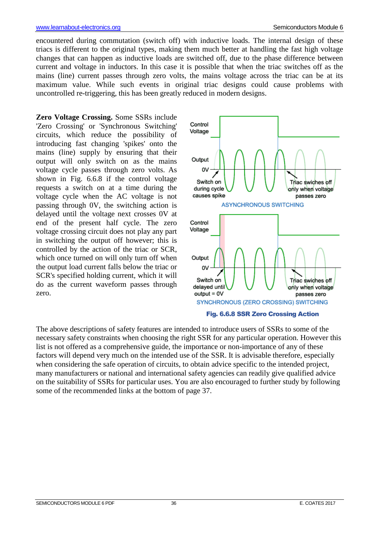encountered during commutation (switch off) with inductive loads. The internal design of these triacs is different to the original types, making them much better at handling the fast high voltage changes that can happen as inductive loads are switched off, due to the phase difference between current and voltage in inductors. In this case it is possible that when the triac switches off as the mains (line) current passes through zero volts, the mains voltage across the triac can be at its maximum value. While such events in original triac designs could cause problems with uncontrolled re-triggering, this has been greatly reduced in modern designs.

**Zero Voltage Crossing.** Some SSRs include 'Zero Crossing' or 'Synchronous Switching' circuits, which reduce the possibility of introducing fast changing 'spikes' onto the mains (line) supply by ensuring that their output will only switch on as the mains voltage cycle passes through zero volts. As shown in Fig. 6.6.8 if the control voltage requests a switch on at a time during the voltage cycle when the AC voltage is not passing through 0V, the switching action is delayed until the voltage next crosses 0V at end of the present half cycle. The zero voltage crossing circuit does not play any part in switching the output off however; this is controlled by the action of the triac or SCR, which once turned on will only turn off when the output load current falls below the triac or SCR's specified holding current, which it will do as the current waveform passes through zero.



The above descriptions of safety features are intended to introduce users of SSRs to some of the necessary safety constraints when choosing the right SSR for any particular operation. However this list is not offered as a comprehensive guide, the importance or non-importance of any of these factors will depend very much on the intended use of the SSR. It is advisable therefore, especially when considering the safe operation of circuits, to obtain advice specific to the intended project, many manufacturers or national and international safety agencies can readily give qualified advice on the suitability of SSRs for particular uses. You are also encouraged to further study by following some of the recommended links at the bottom of page 37.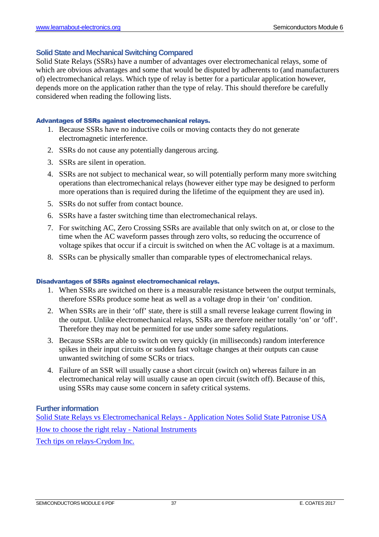#### **Solid State and Mechanical Switching Compared**

Solid State Relays (SSRs) have a number of advantages over electromechanical relays, some of which are obvious advantages and some that would be disputed by adherents to (and manufacturers of) electromechanical relays. Which type of relay is better for a particular application however, depends more on the application rather than the type of relay. This should therefore be carefully considered when reading the following lists.

#### Advantages of SSRs against electromechanical relays.

- 1. Because SSRs have no inductive coils or moving contacts they do not generate electromagnetic interference.
- 2. SSRs do not cause any potentially dangerous arcing.
- 3. SSRs are silent in operation.
- 4. SSRs are not subject to mechanical wear, so will potentially perform many more switching operations than electromechanical relays (however either type may be designed to perform more operations than is required during the lifetime of the equipment they are used in).
- 5. SSRs do not suffer from contact bounce.
- 6. SSRs have a faster switching time than electromechanical relays.
- 7. For switching AC, Zero Crossing SSRs are available that only switch on at, or close to the time when the AC waveform passes through zero volts, so reducing the occurrence of voltage spikes that occur if a circuit is switched on when the AC voltage is at a maximum.
- 8. SSRs can be physically smaller than comparable types of electromechanical relays.

#### Disadvantages of SSRs against electromechanical relays.

- 1. When SSRs are switched on there is a measurable resistance between the output terminals, therefore SSRs produce some heat as well as a voltage drop in their 'on' condition.
- 2. When SSRs are in their 'off' state, there is still a small reverse leakage current flowing in the output. Unlike electromechanical relays, SSRs are therefore neither totally 'on' or 'off'. Therefore they may not be permitted for use under some safety regulations.
- 3. Because SSRs are able to switch on very quickly (in milliseconds) random interference spikes in their input circuits or sudden fast voltage changes at their outputs can cause unwanted switching of some SCRs or triacs.
- 4. Failure of an SSR will usually cause a short circuit (switch on) whereas failure in an electromechanical relay will usually cause an open circuit (switch off). Because of this, using SSRs may cause some concern in safety critical systems.

#### **Further information**

Solid State Relays vs Electromechanical Relays - Application Notes Solid State Patronise USA How to choose the right relay - National Instruments Tech tips on relays-Crydom Inc.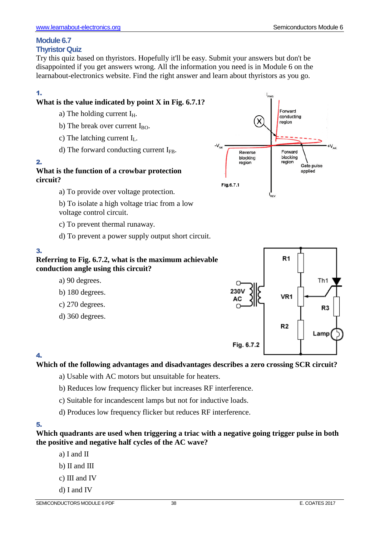# **Module 6.7**

# **Thyristor Quiz**

Try this quiz based on thyristors. Hopefully it'll be easy. Submit your answers but don't be disappointed if you get answers wrong. All the information you need is in Module 6 on the learnabout-electronics website. Find the right answer and learn about thyristors as you go.

# 1.

# **What is the value indicated by point X in Fig. 6.7.1?**

- a) The holding current  $I_H$ .
- b) The break over current  $I_{BO}$ .
- c) The latching current  $I_L$ .
- d) The forward conducting current  $I_{FB}$ .

## 2.

**What is the function of a crowbar protection circuit?** 

a) To provide over voltage protection.

b) To isolate a high voltage triac from a low voltage control circuit.

- c) To prevent thermal runaway.
- d) To prevent a power supply output short circuit.

# 3.

# **Referring to Fig. 6.7.2, what is the maximum achievable conduction angle using this circuit?**

- a) 90 degrees.
- b) 180 degrees.
- c) 270 degrees.
- d) 360 degrees.



# 4.

# **Which of the following advantages and disadvantages describes a zero crossing SCR circuit?**

- a) Usable with AC motors but unsuitable for heaters.
- b) Reduces low frequency flicker but increases RF interference.
- c) Suitable for incandescent lamps but not for inductive loads.
- d) Produces low frequency flicker but reduces RF interference.

# 5.

#### **Which quadrants are used when triggering a triac with a negative going trigger pulse in both the positive and negative half cycles of the AC wave?**

- a) I and II
- b) II and III
- c) III and IV
- d) I and IV